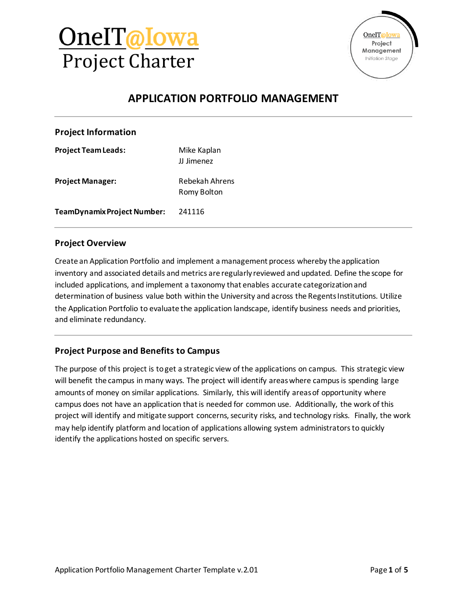



### **APPLICATION PORTFOLIO MANAGEMENT**

#### **Project Information**

**Project Team Leads:** Mike Kaplan JJ Jimenez **Project Manager:** Rebekah Ahrens Romy Bolton **TeamDynamix Project Number:** 241116

#### **Project Overview**

Create an Application Portfolio and implement a management process whereby the application inventory and associated details and metrics are regularly reviewed and updated. Define the scope for included applications, and implement a taxonomy that enables accurate categorization and determination of business value both within the University and across the Regents Institutions. Utilize the Application Portfolio to evaluate the application landscape, identify business needs and priorities, and eliminate redundancy.

#### **Project Purpose and Benefits to Campus**

The purpose of this project is to get a strategic view of the applications on campus. This strategic view will benefit the campus in many ways. The project will identify areas where campus is spending large amounts of money on similar applications. Similarly, this will identify areas of opportunity where campus does not have an application that is needed for common use. Additionally, the work of this project will identify and mitigate support concerns, security risks, and technology risks. Finally, the work may help identify platform and location of applications allowing system administrators to quickly identify the applications hosted on specific servers.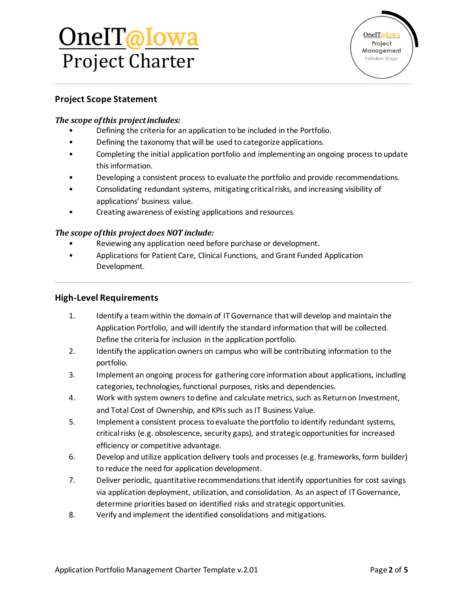## OneIT@Iowa Project Charter

#### **Project Scope Statement**

#### *The scope of this project includes:*

- Defining the criteria for an application to be included in the Portfolio.
- Defining the taxonomy that will be used to categorize applications.
- Completing the initial application portfolio and implementing an ongoing process to update this information.
- Developing a consistent process to evaluate the portfolio and provide recommendations.
- Consolidating redundant systems, mitigating critical risks, and increasing visibility of applications' business value.
- Creating awareness of existing applications and resources.

#### *The scope of this project does NOT include:*

- Reviewing any application need before purchase or development.
- Applications for Patient Care, Clinical Functions, and Grant Funded Application Development.

#### **High-Level Requirements**

- 1. Identify a team within the domain of IT Governance that will develop and maintain the Application Portfolio, and will identify the standard information that will be collected. Define the criteria for inclusion in the application portfolio.
- 2. Identify the application owners on campus who will be contributing information to the portfolio.
- 3. Implement an ongoing process for gathering core information about applications, including categories, technologies, functional purposes, risks and dependencies.
- 4. Work with system owners to define and calculate metrics, such as Return on Investment, and Total Cost of Ownership, and KPIs such as IT Business Value.
- 5. Implement a consistent process to evaluate the portfolio to identify redundant systems, critical risks (e.g. obsolescence, security gaps), and strategic opportunities for increased efficiency or competitive advantage.
- 6. Develop and utilize application delivery tools and processes (e.g. frameworks, form builder) to reduce the need for application development.
- 7. Deliver periodic, quantitative recommendations that identify opportunities for cost savings via application deployment, utilization, and consolidation. As an aspect of IT Governance, determine priorities based on identified risks and strategic opportunities.
- 8. Verify and implement the identified consolidations and mitigations.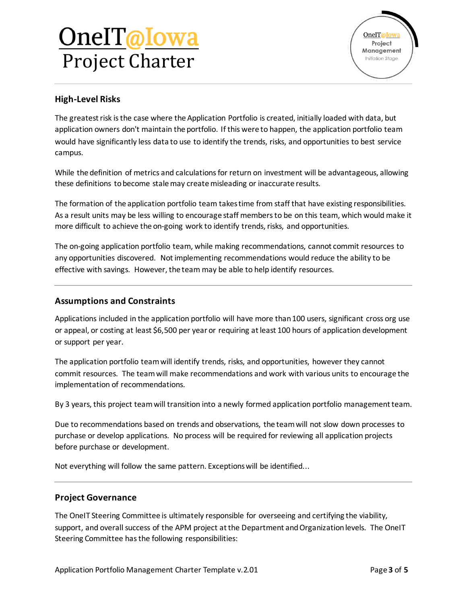## OneIT@Iowa Project Charter



#### **High-Level Risks**

The greatest risk is the case where the Application Portfolio is created, initially loaded with data, but application owners don't maintain the portfolio. If this were to happen, the application portfolio team would have significantly less data to use to identify the trends, risks, and opportunities to best service campus.

While the definition of metrics and calculations for return on investment will be advantageous, allowing these definitions to become stale may create misleading or inaccurate results.

The formation of the application portfolio team takes time from staff that have existing responsibilities. As a result units may be less willing to encourage staff members to be on this team, which would make it more difficult to achieve the on-going work to identify trends, risks, and opportunities.

The on-going application portfolio team, while making recommendations, cannot commit resources to any opportunities discovered. Not implementing recommendations would reduce the ability to be effective with savings. However, the team may be able to help identify resources.

#### **Assumptions and Constraints**

Applications included in the application portfolio will have more than 100 users, significant cross org use or appeal, or costing at least \$6,500 per year or requiring at least 100 hours of application development or support per year.

The application portfolio team will identify trends, risks, and opportunities, however they cannot commit resources. The team will make recommendations and work with various units to encourage the implementation of recommendations.

By 3 years, this project team will transition into a newly formed application portfolio management team.

Due to recommendations based on trends and observations, the team will not slow down processes to purchase or develop applications. No process will be required for reviewing all application projects before purchase or development.

Not everything will follow the same pattern. Exceptions will be identified...

#### **Project Governance**

The OneIT Steering Committee is ultimately responsible for overseeing and certifying the viability, support, and overall success of the APM project at the Department and Organization levels. The OneIT Steering Committee has the following responsibilities: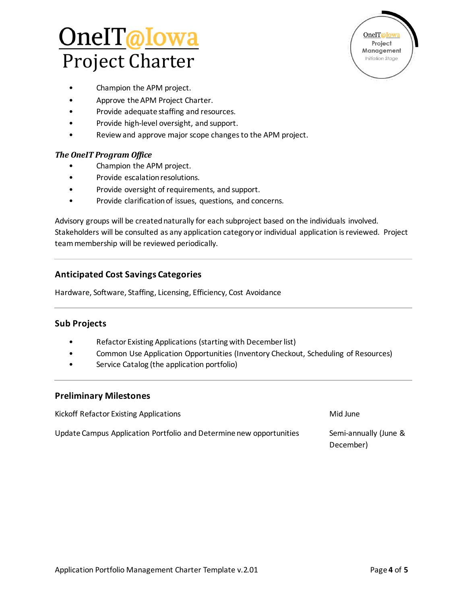## <u>OnelT@Iowa</u> Project Charter

OneIT@Iowa Project Management Initiation Stage

- Champion the APM project.
- Approve the APM Project Charter.
- Provide adequate staffing and resources.
- Provide high-level oversight, and support.
- Review and approve major scope changes to the APM project.

#### *The OneIT Program Office*

- Champion the APM project.
- Provide escalation resolutions.
- Provide oversight of requirements, and support.
- Provide clarification of issues, questions, and concerns.

Advisory groups will be created naturally for each subproject based on the individuals involved. Stakeholders will be consulted as any application category or individual application is reviewed. Project team membership will be reviewed periodically.

#### **Anticipated Cost Savings Categories**

Hardware, Software, Staffing, Licensing, Efficiency, Cost Avoidance

#### **Sub Projects**

- Refactor Existing Applications (starting with December list)
- Common Use Application Opportunities (Inventory Checkout, Scheduling of Resources)
- Service Catalog (the application portfolio)

#### **Preliminary Milestones**

Kickoff Refactor Existing Applications Mid June Update Campus Application Portfolio and Determine new opportunities Semi-annually (June & December)